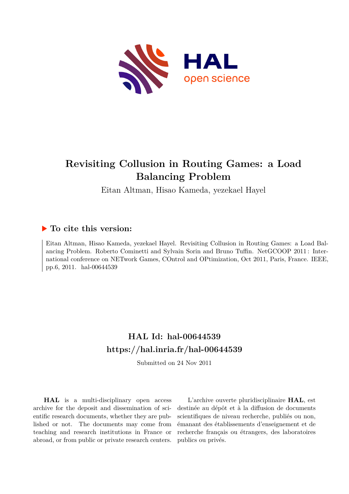

## **Revisiting Collusion in Routing Games: a Load Balancing Problem**

Eitan Altman, Hisao Kameda, yezekael Hayel

### **To cite this version:**

Eitan Altman, Hisao Kameda, yezekael Hayel. Revisiting Collusion in Routing Games: a Load Balancing Problem. Roberto Cominetti and Sylvain Sorin and Bruno Tuffin. NetGCOOP 2011 : International conference on NETwork Games, COntrol and OPtimization, Oct 2011, Paris, France. IEEE, pp.6, 2011. hal-00644539

## **HAL Id: hal-00644539 <https://hal.inria.fr/hal-00644539>**

Submitted on 24 Nov 2011

**HAL** is a multi-disciplinary open access archive for the deposit and dissemination of scientific research documents, whether they are published or not. The documents may come from teaching and research institutions in France or abroad, or from public or private research centers.

L'archive ouverte pluridisciplinaire **HAL**, est destinée au dépôt et à la diffusion de documents scientifiques de niveau recherche, publiés ou non, émanant des établissements d'enseignement et de recherche français ou étrangers, des laboratoires publics ou privés.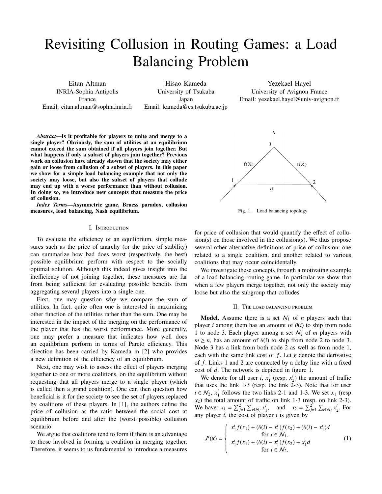# Revisiting Collusion in Routing Games: a Load Balancing Problem

Eitan Altman INRIA-Sophia Antipolis France Email: eitan.altman@sophia.inria.fr

Hisao Kameda University of Tsukuba Japan Email: kameda@cs.tsukuba.ac.jp

Yezekael Hayel University of Avignon France Email: yezekael.hayel@univ-avignon.fr

*Abstract*—Is it profitable for players to unite and merge to a single player? Obviously, the sum of utilities at an equilibrium cannot exceed the sum obtained if all players join together. But what happens if only a subset of players join together? Previous work on collusion have already shown that the society may either gain or loose from collusion of a subset of players. In this paper we show for a simple load balancing example that not only the society may loose, but also the subset of players that collude may end up with a worse performance than without collusion. In doing so, we introduce new concepts that measure the price of collusion.

*Index Terms*—Asymmetric game, Braess paradox, collusion measures, load balancing, Nash equilibrium.

#### I. Introduction

To evaluate the efficiency of an equilibrium, simple measures such as the price of anarchy (or the price of stability) can summarize how bad does worst (respectively, the best) possible equilibrium perform with respect to the socially optimal solution. Although this indeed gives insight into the inefficiency of not joining together, these measures are far from being sufficient for evaluating possible benefits from aggregating several players into a single one.

First, one may question why we compare the sum of utilities. In fact, quite often one is interested in maximizing other function of the utilities rather than the sum. One may be interested in the impact of the merging on the performance of the player that has the worst performance. More generally, one may prefer a measure that indicates how well does an equilibrium perform in terms of Pareto efficiency. This direction has been carried by Kameda in [2] who provides a new definition of the efficiency of an equilibrium.

Next, one may wish to assess the effect of players merging together to one or more coalitions, on the equilibrium without requesting that all players merge to a single player (which is called then a grand coalition). One can then question how beneficial is it for the society to see the set of players replaced by coalitions of these players. In [1], the authors define the price of collusion as the ratio between the social cost at equilibrium before and after the (worst possible) collusion scenario.

We argue that coalitions tend to form if there is an advantage to those involved in forming a coalition in merging together. Therefore, it seems to us fundamental to introduce a measures



Fig. 1. Load balancing topology

for price of collusion that would quantify the effect of collusion(s) on those involved in the collusion(s). We thus propose several other alternative definitions of price of collusion: one related to a single coalition, and another related to various coalitions that may occur coincidentally.

We investigate these concepts through a motivating example of a load balancing routing game. In particular we show that when a few players merge together, not only the society may loose but also the subgroup that colludes.

#### II. The load balancing problem

**Model.** Assume there is a set  $N_1$  of *n* players such that player *i* among them has an amount of  $\theta(i)$  to ship from node 1 to node 3. Each player among a set  $\mathcal{N}_2$  of *m* players with  $m \ge n$ , has an amount of  $\theta(i)$  to ship from node 2 to node 3. Node 3 has a link from both node 2 as well as from node 1, each with the same link cost of *f* . Let *g* denote the derivative of *f* . Links 1 and 2 are connected by a delay line with a fixed cost of *d*. The network is depicted in figure 1.

We denote for all user *i*,  $x_1^i$  (resp.  $x_2^i$ ) the amount of traffic that uses the link 1-3 (resp. the link 2-3). Note that for user  $i \in \mathcal{N}_2$ ,  $x_1^i$  follows the two links 2-1 and 1-3. We set  $x_1$  (resp *x*2) the total amount of traffic on link 1-3 (resp. on link 2-3). We have:  $x_1 = \sum_{j=1}^2 \sum_{i \in \mathcal{N}_j} x_1^i$ , and  $x_2 = \sum_{j=1}^2 \sum_{i \in \mathcal{N}_j} x_2^i$ . For any player *i*, the cost of player *i* is given by

$$
J^{i}(\mathbf{x}) = \begin{cases} x_{1}^{i} f(x_{1}) + (\theta(i) - x_{1}^{i}) f(x_{2}) + (\theta(i) - x_{1}^{i}) d \\ \text{for } i \in \mathcal{N}_{1}, \\ x_{1}^{i} f(x_{1}) + (\theta(i) - x_{1}^{i}) f(x_{2}) + x_{1}^{i} d \\ \text{for } i \in \mathcal{N}_{2}. \end{cases}
$$
(1)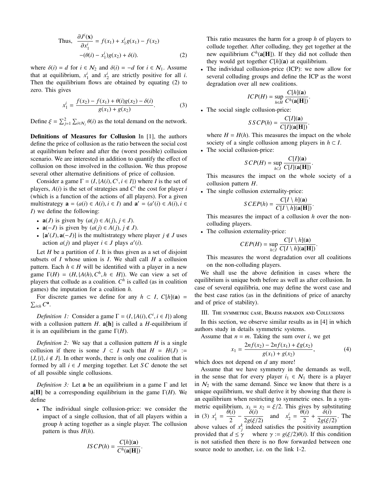Thus, 
$$
\frac{\partial J^{i}(\mathbf{x})}{\partial x_{1}^{i}} = f(x_{1}) + x_{1}^{i}g(x_{1}) - f(x_{2}) -(\theta(i) - x_{1}^{i})g(x_{2}) + \delta(i).
$$
 (2)

where  $\delta(i) = d$  for  $i \in \mathcal{N}_2$  and  $\delta(i) = -d$  for  $i \in \mathcal{N}_1$ . Assume that at equilibrium,  $x_1^i$  and  $x_2^i$  are strictly positive for all *i*. Then the equilibrium flows are obtained by equating (2) to zero. This gives

$$
x_1^i = \frac{f(x_2) - f(x_1) + \theta(i)g(x_2) - \delta(i)}{g(x_1) + g(x_2)}.
$$
 (3)

Define  $\xi = \sum_{j=1}^{2} \sum_{i \in \mathcal{N}_j} \theta(i)$  as the total demand on the network.

Definitions of Measures for Collusion In [1], the authors define the price of collusion as the ratio between the social cost at equilibrium before and after the (worst possible) collusion scenario. We are interested in addition to quantify the effect of collusion on those involved in the collusion. We thus propose several other alternative definitions of price of collusion.

Consider a game  $\Gamma = (I, \{A(i), C^i, i \in I\})$  where *I* is the set of players,  $A(i)$  is the set of strategies and  $C<sup>i</sup>$  the cost for player *i* (which is a function of the actions of all players). For a given multistrategy  $\mathbf{a} = (a(i) \in A(i), i \in I)$  and  $\mathbf{a}' = (a'(i) \in A(i), i \in I)$ *I*) we define the following:

- $\mathbf{a}(J)$  is given by  $(a(j) \in A(j), j \in J)$ .
- $a(-J)$  is given by  $(a(j) \in A(j), j \notin J)$ .
- $[\mathbf{a}'(J), \mathbf{a}(-J)]$  is the multistrategy where player  $j \notin J$  uses action  $a(j)$  and player  $i \in J$  plays  $a'(i)$ .

Let *H* be a partition of *I*. It is thus given as a set of disjoint subsets of *I* whose union is *I*. We shall call *H* a collusion pattern. Each  $h \in H$  will be identified with a player in a new game  $\Gamma(H) = (H, \{A(h), C^h, h \in H\})$ . We can view a set of players that collude as a coalition. *C h* is called (as in coalition games) the imputation for a coalition *h*.

For discrete games we define for any  $h \subset I$ ,  $C[h](a) =$  $\sum_{i \in h} C^a$ .

*Definition 1:* Consider a game  $\Gamma = (I, \{A(i), C^i, i \in I\})$  along with a collusion pattern  $H$ .  $a[h]$  is called a  $H$ -equilibrium if it is an equilibrium in the game  $\Gamma(H)$ .

*Definition 2:* We say that a collusion pattern *H* is a single collusion if there is some  $J \subset I$  such that  $H = H(J)$  :=  $\{J, \{i\}, i \notin J\}$ . In other words, there is only one coalition that is formed by all  $i \in J$  merging together. Let *SC* denote the set of all possible single collusions.

*Definition 3:* Let a be an equilibrium in a game Γ and let a[H] be a corresponding equilibrium in the game  $\Gamma(H)$ . We define

• The individual single collusion-price: we consider the impact of a single collusion, that of all players within a group *h* acting together as a single player. The collusion pattern is thus  $H(h)$ .

$$
IS\,CP(h) = \frac{C[h](\mathbf{a})}{C^h(\mathbf{a}[\mathbf{H}])}
$$

.

This ratio measures the harm for a group *h* of players to collude together. After colluding, they get together at the new equilibrium  $C^h$ (a[H]). If they did not collude then they would get together  $C[h](a)$  at equilibrium.

The individual collusion-price (ICP): we now allow for several colluding groups and define the ICP as the worst degradation over all new coalitions.

$$
ICP(H) = \sup_{h \in H} \frac{C[h](\mathbf{a})}{C^h(\mathbf{a}[\mathbf{H}])}.
$$

• The social single collusion-price:

$$
SSCP(h) = \frac{C[I](\mathbf{a})}{C[I](\mathbf{a}[\mathbf{H}])}.
$$

where  $H = H(h)$ . This measures the impact on the whole society of a single collusion among players in  $h \subset I$ .

• The social collusion-price:

$$
SCP(H) = \sup_{h \subset I} \frac{C[I](\mathbf{a})}{C[I](\mathbf{a}[H])}.
$$

This measures the impact on the whole society of a collusion pattern *H*.

• The single collusion externality-price:

$$
SCEP(h) = \frac{C[I \setminus h](\mathbf{a})}{C[I \setminus h](\mathbf{a}[\mathbf{H}])}
$$

.

This measures the impact of a collusion *h* over the noncolluding players.

• The collusion externality-price:

$$
CEP(H) = \sup_{h \subset I} \frac{C[I \setminus h](\mathbf{a})}{C[I \setminus h](\mathbf{a}[H])}.
$$

This measures the worst degradation over all coalitions on the non-colluding players.

We shall use the above definition in cases where the equilibrium is unique both before as well as after collusion. In case of several equilibria, one may define the worst case and the best case ratios (as in the definitions of price of anarchy and of price of stability).

#### III. The symmetric case, Braess paradox and Collusions

In this section, we observe similar results as in [4] in which authors study in details symmetric systems.

Assume that  $n = m$ . Taking the sum over *i*, we get

$$
x_1 = \frac{2nf(x_2) - 2nf(x_1) + \xi g(x_2)}{g(x_1) + g(x_2)},
$$
\n(4)

which does not depend on *d* any more!

Assume that we have symmetry in the demands as well, in the sense that for every player  $i_1 \in \mathcal{N}_1$  there is a player in  $N_2$  with the same demand. Since we know that there is a unique equilibrium, we shall derive it by showing that there is an equilibrium when restricting to symmetric ones. In a symmetric equilibrium,  $x_1 = x_2 = \xi/2$ . This gives by substituting in (3)  $x_1^i = \frac{\theta(i)}{2}$  $\frac{\delta(i)}{2} - \frac{\delta(i)}{2g(\xi)}$  $\frac{\delta(i)}{2g(\xi/2)}$  and  $x_2^i = \frac{\theta(i)}{2}$  $\frac{\delta(i)}{2} + \frac{\delta(i)}{2g(\xi)}$  $\frac{\partial (U)}{\partial g(\xi/2)}$ . The above values of  $x_j^k$  indeed satisfies the positivity assumption provided that  $d \leq \gamma$  where  $\gamma := g(\xi/2)\theta(i)$ . If this condition is not satisfied then there is no flow forwarded between one source node to another, i.e. on the link 1-2.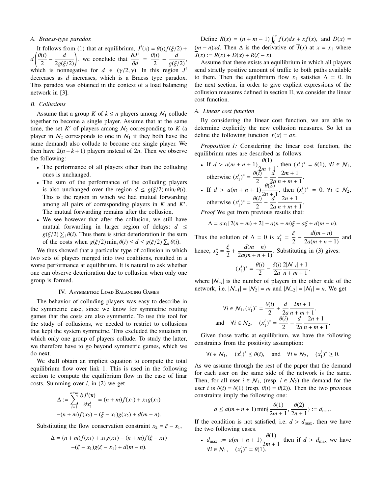#### *A. Braess-type paradox*

It follows from (1) that at equilibrium,  $J^{i}(x) = \theta(i) f(\xi/2) +$  $d\left(\frac{\theta(i)}{2}\right)$  $\left(\frac{i}{2} - \frac{d}{2g(\xi/2)}\right)$  we conclude that  $\frac{\partial J^i}{\partial d}$  $\frac{\partial J^i}{\partial d} = \frac{\theta(i)}{2}$  $rac{(i)}{2} - \frac{d}{g(\xi)}$  $\frac{a}{g(\xi/2)}$ which is nonnegative for  $d \in (\gamma/2, \gamma)$ . In this region  $J^i$ decreases as *d* increases, which is a Braess type paradox. This paradox was obtained in the context of a load balancing network in [3].

#### *B. Collusions*

Assume that a group *K* of  $k \le n$  players among  $N_1$  collude together to become a single player. Assume that at the same time, the set  $K'$  of players among  $\mathcal{N}_2$  corresponding to  $K$  (a player in  $N_2$  corresponds to one in  $N_1$  if they both have the same demand) also collude to become one single player. We then have  $2(n - k + 1)$  players instead of 2*n*. Then we observe the following:

- The performance of all players other than the colluding ones is unchanged.
- The sum of the performance of the colluding players is also unchanged over the region  $d \leq g(\xi/2) \min_i \theta(i)$ . This is the region in which we had mutual forwarding among all pairs of corresponding players in *K* and *K* ′ . The mutual forwarding remains after the collusion.
- We see however that after the collusion, we still have mutual forwarding in larger region of delays:  $d \leq$  $g(\xi/2) \sum_i \theta(i)$ . Thus there is strict deterioration in the sum of the costs when  $g(\xi/2) \min_i \theta(i) \leq d \leq g(\xi/2) \sum_i \theta(i)$ .

We thus showed that a particular type of collusion in which two sets of players merged into two coalitions, resulted in a worse performance at equilibrium. It is natural to ask whether one can observe deterioration due to collusion when only one group is formed.

#### IV. Asymmetric Load Balancing Games

The behavior of colluding players was easy to describe in the symmetric case, since we know for symmetric routing games that the costs are also symmetric. To use this tool for the study of collusions, we needed to restrict to collusions that kept the system symmetric. This excluded the situation in which only one group of players collude. To study the latter, we therefore have to go beyond symmetric games, which we do next.

We shall obtain an implicit equation to compute the total equilibrium flow over link 1. This is used in the following section to compute the equilibrium flow in the case of linar costs. Summing over *i*, in (2) we get

$$
\Delta := \sum_{i=1}^{n+m} \frac{\partial J^i(\mathbf{x})}{\partial x_1^i} = (n+m)f(x_1) + x_1g(x_1)
$$

$$
-(n+m)f(x_2) - (\xi - x_1)g(x_2) + d(m-n).
$$

Substituting the flow conservation constraint  $x_2 = \xi - x_1$ ,

$$
\Delta = (n+m)f(x_1) + x_1g(x_1) - (n+m)f(\xi - x_1)
$$

$$
-(\xi - x_1)g(\xi - x_1) + d(m-n).
$$

Define  $R(x) = (n + m - 1) \int_0^x f(s) ds + xf(x)$ , and  $D(x) =$ (*m* − *n*)*xd*. Then  $\Delta$  is the derivative of  $\overline{J}(x)$  at  $x = x_1$  where  $\overline{J}(x) := R(x) + D(x) + R(\xi - x).$ 

Assume that there exists an equilibrium in which all players send strictly positive amount of traffic to both paths available to them. Then the equilibrium flow  $x_1$  satisfies  $\Delta = 0$ . In the next section, in order to give explicit expressions of the collusion measures defined in section II, we consider the linear cost function.

#### *A. Linear cost function*

By considering the linear cost function, we are able to determine explicitly the new collusion measures. So let us define the following function  $f(x) = ax$ .

*Proposition 1:* Considering the linear cost function, the equilibrium rates are described as follows.

- If  $d > a(m+n+1)\frac{\theta(1)}{2}$  $\frac{v(1)}{2m+1}$ , then  $(x_1^i)^* = \theta(1)$ ,  $\forall i \in \mathcal{N}_1$ , otherwise  $(x_1^i)^* = \frac{\theta(\tilde{i})}{2}$  $\left(\frac{\overline{i}}{2} + \frac{\overline{d}}{2} + \frac{\overline{d}}{2} \right)$ 2*a* 2*m* + 1  $\frac{2m+1}{n+m+1}.$ • If  $d > a(m + n + 1) \frac{\theta(2)}{2}$
- $\frac{\partial(z)}{\partial x + 1}$ , then  $(x_1^i)^* = 0$ ,  $\forall i \in \mathcal{N}_2$ , otherwise  $(x_1^i)^* = \frac{\theta(i)}{2}$  $\frac{(i)}{2} - \frac{d}{2a}$ 2*a* 2*n* + 1  $\frac{2(n+1)}{n+m+1}$ .

*Proof* We get from previous results the

$$
\Delta = ax_1[2(n+m) + 2] - a(n+m)\xi - a\xi + d(m-n).
$$

Thus the solution of  $\Delta = 0$  is  $x_1^* = \frac{\xi}{2}$  $\frac{\xi}{2} - \frac{d(m-n)}{2a(m+n+1)}$  $\frac{2a(m+n+1)}{2a(m+n+1)}$  and

hence,  $x_2^* = \frac{\xi}{2}$  $\frac{\xi}{2} + \frac{d(m-n)}{2a(m+n+1)}$  $\frac{u(n-1)}{2a(m+n+1)}$ . Substituting in (3) gives:

$$
(x_1^i)^* = \frac{\theta(i)}{2} - \frac{\delta(i)}{2a} \frac{2|N_{-i}| + 1}{n + m + 1},
$$

where |N<sup>−</sup>*<sup>i</sup>* | is the number of players in the other side of the network, i.e.  $|N_{-1}| = |N_2| = m$  and  $|N_{-2}| = |N_1| = n$ . We get

$$
\forall i \in \mathcal{N}_1, (x_1^i)^* = \frac{\theta(i)}{2} + \frac{d}{2a} \frac{2m+1}{n+m+1},
$$
  
and 
$$
\forall i \in \mathcal{N}_2, \quad (x_1^i)^* = \frac{\theta(i)}{2} - \frac{d}{2a} \frac{2n+1}{n+m+1}.
$$

Given those traffic at equilibrium, we have the following constraints from the positivity assumption:

$$
\forall i \in \mathcal{N}_1, \quad (x_1^i)^* \le \theta(i), \quad \text{and} \quad \forall i \in \mathcal{N}_2, \quad (x_1^i)^* \ge 0.
$$

As we assume through the rest of the paper that the demand for each user on the same side of the network is the same. Then, for all user  $i \in \mathcal{N}_1$ , (resp.  $i \in \mathcal{N}_2$ ) the demand for the user *i* is  $\theta(i) = \theta(1)$  (resp.  $\theta(i) = \theta(2)$ ). Then the two previous constraints imply the following one:

$$
d \le a(m+n+1) \min\{\frac{\theta(1)}{2m+1}, \frac{\theta(2)}{2n+1}\} := d_{\max}.
$$

If the condition is not satisfied, i.e.  $d > d_{\text{max}}$ , then we have the two following cases.

•  $d_{\text{max}} := a(m+n+1) \frac{\theta(1)}{2m+1}$  $\frac{2m+1}{2m+1}$  then if  $d > d_{\text{max}}$  we have  $∀i ∈ N_1, (x_1^i)^* = θ(1).$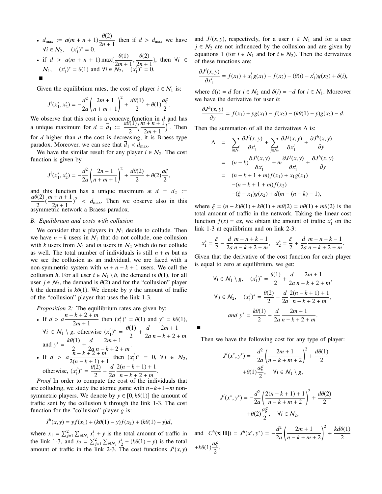•  $d_{\text{max}} := a(m+n+1) \frac{\theta(2)}{2m+n+1}$  $\frac{d^{(2)}}{2n+1}$  then if  $d > d_{\text{max}}$  we have  $\forall i \in \mathcal{N}_2,$   $(x_1^i)^* = 0.$ 

• if 
$$
d > a(m + n + 1) \max\{\frac{\theta(1)}{2m + 1}, \frac{\theta(2)}{2n + 1}\}\
$$
, then  $\forall i \in N_1$ ,  $(x_1^i)^* = \theta(1)$  and  $\forall i \in N_2$ ,  $(x_1^i)^* = 0$ .

Given the equilibrium rates, the cost of player  $i \in \mathcal{N}_1$  is:

$$
J^{i}(x_{1}^{*}, x_{2}^{*}) = -\frac{d^{2}}{2a} \left( \frac{2m+1}{n+m+1} \right)^{2} + \frac{d\theta(1)}{2} + \theta(1)\frac{a\xi}{2}.
$$

We observe that this cost is a concave function in  $d$  and has a unique maximum for  $d = \overline{d}_1 := \frac{a\theta(1)}{2}$ 2  $\left(\frac{m+n+1}{2}\right)$ 2*m* + 1  $\int_{0}^{2}$ . Then for *d* higher than  $\overline{d}$  the cost is decreasing, it is Braess type paradox. Moreover, we can see that  $d_1 < d_{\text{max}}$ .

We have the similar result for any player  $i \in \mathcal{N}_2$ . The cost function is given by

$$
J^{i}(x_{1}^{*}, x_{2}^{*}) = -\frac{d^{2}}{2a} \left( \frac{2n+1}{n+m+1} \right)^{2} + \frac{d\theta(2)}{2} + \theta(2) \frac{a\xi}{2},
$$

and this function has a unique maximum at  $d = d_2$  := *a*θ(2)  $\frac{h(2)}{2}(\frac{m+n+1}{2n+1})$  $(\frac{2n+1}{2n+1})^2$  <  $d_{\text{max}}$ . Then we observe also in this asymmetric network a Braess paradox.

#### *B. Equilibrium and costs with collusion*

We consider that  $k$  players in  $N_1$  decide to collude. Then we have  $n - k$  users in  $N_1$  that do not collude, one collusion with *k* users from  $N_1$  and *m* users in  $N_2$  which do not collude as well. The total number of individuals is still  $n + m$  but as we see the collusion as an individual, we are faced with a non-symmetric system with  $m + n - k + 1$  users. We call the collusion *h*. For all user  $i \in \mathcal{N}_1 \setminus h$ , the demand is  $\theta(1)$ , for all user  $j \in \mathcal{N}_2$ , the demand is  $\theta(2)$  and for the "collusion" player *h* the demand is  $k\theta(1)$ . We denote by *y* the amount of traffic of the "collusion" player that uses the link 1-3.

*Proposition 2:* The equilibrium rates are given by:

• If 
$$
d > a \frac{n-k+2+m}{2m+1}
$$
 then  $(x_1^i)^* = \theta(1)$  and  $y^* = k\theta(1)$ ,  
\n $\forall i \in N_1 \setminus g$ , otherwise  $(x_1^i)^* = \frac{\theta(1)}{2} + \frac{d}{2a} \frac{2m+1}{n-k+2+m}$   
\nand  $y^* = \frac{k\theta(1)}{2} + \frac{d}{2a} \frac{2m+1}{n-k+2+m}$ .  
\n• If  $d > a \frac{n-k+2+m}{2(n-k+1)+1}$  then  $(x_1^i)^* = 0$ ,  $\forall j \in N_2$ ,  
\notherwise,  $(x_1^i)^* = \frac{\theta(2)}{2} - \frac{d}{2a} \frac{2(n-k+1)+1}{n-k+2+m}$ .

*Proof* In order to compute the cost of the individuals that are colluding, we study the atomic game with *n*−*k*+1+*m* nonsymmetric players. We denote by  $y \in [0, k\theta(1)]$  the amount of traffic sent by the collusion *h* through the link 1-3. The cost function for the "collusion" player *g* is:

$$
J^h(x, y) = yf(x_1) + (k\theta(1) - y)f(x_2) + (k\theta(1) - y)d,
$$

where  $x_1 = \sum_{j=1}^2 \sum_{i \in \mathcal{N}_j} x_{1}^i + y$  is the total amount of traffic in the link 1-3, and  $x_2 = \sum_{j=1}^{2} \sum_{i \in \mathbb{N}_j} x_2^i + (k\theta(1) - y)$  is the total amount of traffic in the link 2-3. The cost functions  $J^i(x, y)$  and  $J^j(x, y)$ , respectively, for a user  $i \in \mathcal{N}_1$  and for a user  $j \in \mathcal{N}_2$  are not influenced by the collusion and are given by equations 1 (for  $i \in \mathcal{N}_1$  and for  $i \in \mathcal{N}_2$ ). Then the derivatives of these functions are:

$$
\frac{\partial J^{i}(x, y)}{\partial x_{1}^{i}} = f(x_{1}) + x_{1}^{i}g(x_{1}) - f(x_{2}) - (\theta(i) - x_{1}^{i})g(x_{2}) + \delta(i),
$$

where  $\delta(i) = d$  for  $i \in \mathcal{N}_2$  and  $\delta(i) = -d$  for  $i \in \mathcal{N}_1$ . Moreover we have the derivative for user *h*:

$$
\frac{\partial J^h(x, y)}{\partial y} = f(x_1) + yg(x_1) - f(x_2) - (k\theta(1) - y)g(x_2) - d.
$$

Then the summation of all the derivatives  $\Delta$  is:

$$
\Delta = \sum_{i \in N_1} \frac{\partial J^i(x, y)}{\partial x_1^i} + \sum_{j \in N_2} \frac{\partial J^j(x, y)}{\partial x_1^i} + \frac{\partial J^h(x, y)}{\partial y} \n= (n - k) \frac{\partial J^i(x, y)}{\partial x_1^i} + m \frac{\partial J^j(x, y)}{\partial x_1^i} + \frac{\partial J^h(x, y)}{\partial y} \n= (n - k + 1 + m) f(x_1) + x_1 g(x_1) \n- (n - k + 1 + m) f(x_2) \n- (\xi - x_1) g(x_2) + d(m - (n - k) - 1),
$$

where  $\xi = (n - k)\theta(1) + k\theta(1) + m\theta(2) = n\theta(1) + m\theta(2)$  is the total amount of traffic in the network. Taking the linear cost function  $f(x) = ax$ , we obtain the amount of traffic  $x_1^*$  on the link 1-3 at equilibrium and on link 2-3:

$$
x_1^* = \frac{\xi}{2} - \frac{d}{2a} \frac{m-n+k-1}{n-k+2+m}, \quad x_2^* = \frac{\xi}{2} + \frac{d}{2a} \frac{m-n+k-1}{n-k+2+m}.
$$

Given that the derivative of the cost function for each player is equal to zero at equilibrium, we get:

$$
\forall i \in \mathcal{N}_1 \setminus g, \quad (x_1^i)^* = \frac{\theta(1)}{2} + \frac{d}{2a} \frac{2m+1}{n-k+2+m},
$$

$$
\forall j \in \mathcal{N}_2, \quad (x_1^j)^* = \frac{\theta(2)}{2} - \frac{d}{2a} \frac{2(n-k+1)+1}{n-k+2+m},
$$

$$
and \quad y^* = \frac{k\theta(1)}{2} + \frac{d}{2a} \frac{2m+1}{n-k+2+m}.
$$

Then we have the following cost for any type of player:

$$
J^{i}(x^{*}, y^{*}) = -\frac{d^{2}}{2a} \left( \frac{2m+1}{n-k+m+2} \right)^{2} + \frac{d\theta(1)}{2} + \theta(1)\frac{a\xi}{2}, \quad \forall i \in \mathcal{N}_{1} \setminus g,
$$
  

$$
J^{i}(\cdot, * , * ) = \frac{d^{2}}{2}(2(n-k+1)+1)^{2} + \frac{d\theta(2)}{2}
$$

$$
J^{i}(x^{*}, y^{*}) = -\frac{d^{2}}{2a} \left( \frac{2(n-k+1)+1}{n-k+m+2} \right)^{2} + \frac{d\theta(2)}{2} + \theta(2)\frac{a\xi}{2}, \quad \forall i \in \mathcal{N}_{2},
$$

and  $C^h$ (**x**[**H**]) =  $J^h$ (*x***<sup>\*</sup>,** *y***<sup>\*</sup>) =**  $-\frac{d^2}{2}$ 2*a*  $\left( 2m + 1 \right)$ *n* − *k* + *m* + 2  $\int_0^2 + \frac{kd\theta(1)}{2}$ 2 + $k\theta(1)\frac{a\xi}{\delta}$  $\frac{1}{2}$ .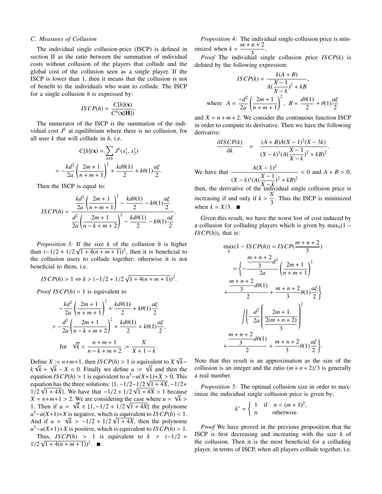#### *C. Measures of Collusion*

The individual single collusion-price (ISCP) is defined in section II as the ratio between the summation of individual costs without collusion of the players that collude and the global cost of the collusion seen as a single player. If the ISCP is lower than 1, then it means that the collusion is not of benefit to the individuals who want to collude. The ISCP for a single collusion *h* is expressed by:

$$
ISCP(h) = \frac{C[h](\mathbf{x})}{C^h(\mathbf{x}[\mathbf{H}])}.
$$

The numerator of the ISCP is the summation of the individual cost  $J^k$  at equilibrium where there is no collusion, for all user *k* that will collude in *h*, i.e.

$$
C[h](\mathbf{x}) = \sum_{k \in h} J^k(x_1^*, x_2^*)
$$
  
=  $-\frac{kd^2}{2a} \left( \frac{2m+1}{n+m+1} \right)^2 + \frac{kd\theta(1)}{2} + k\theta(1) \frac{a_2^2}{2}$ 

.

.

Then the ISCP is equal to:

$$
ISCP(h) = \frac{\frac{kd^2}{2a} \left(\frac{2m+1}{n+m+1}\right)^2 - \frac{kd\theta(1)}{2} - k\theta(1)\frac{a\xi}{2}}{\frac{d^2}{2a} \left(\frac{2m+1}{n-k+m+2}\right)^2 - \frac{kd\theta(1)}{2} - k\theta(1)\frac{a\xi}{2}}
$$

*Proposition 3:* If the size  $k$  of the collusion  $h$  is higher than  $(-1/2 + 1/2\sqrt{1 + 4(n + m + 1)})^2$ , then it is beneficial to the collusion users to collude together; otherwise it is not beneficial to them, i.e.

$$
ISCP(h) > 1 \Leftrightarrow k > (-1/2 + 1/2\sqrt{1 + 4(n + m + 1)})^{2}.
$$

*Proof ISCP(h)* > 1 is equivalent to

 $1/2\sqrt{1+4(n+m+1)})^2$ .

$$
-\frac{kd^2}{2a} \left(\frac{2m+1}{n+m+1}\right)^2 + \frac{kd\theta(1)}{2} + k\theta(1)\frac{a\xi}{2}
$$
  
> 
$$
-\frac{d^2}{2a} \left(\frac{2m+1}{n-k+m+2}\right)^2 + \frac{kd\theta(1)}{2} + k\theta(1)\frac{a\xi}{2},
$$
  
for  $\sqrt{k} < \frac{n+m+1}{n-k+m+2} := \frac{X}{X+1-k}.$ 

Define  $X := n+m+1$ , then  $ISCP(h) > 1$  is equivalent to  $X$ √ efine *X* := *n*+*m*+1, then *IS*  $CP(h) > 1$  is equivalent to *X*  $\sqrt{k}$  –  $k\sqrt{k} + \sqrt{k} - X < 0$ . Finally we define  $u := \sqrt{k}$  and then the equation *ISCP*(*h*) > 1 is equivalent to  $u^3 - u(X+1) + X > 0$ . This equation has the three solutions:  $\{1, -1/2 - \frac{1}{2}\sqrt{1 + 4X}, -\frac{1}{2} + \frac{1}{2}\}$ 1/2  $\sqrt{1 + 4X}$ . We have that  $-1/2 + 1/2 \sqrt{1 + 4X} > 1$  because  $X = n+m+1 > 2$ . We are considering the case where  $u = \sqrt{k} > 1$ 1. Then if *u* =  $\sqrt{k}$  ∈ [1, -1/2 + 1/2  $\sqrt{1 + 4X}$ [ the polynome  $u^3 - u(X+1) + X$  is negative, which is equivalent to *ISCP*(*h*) < 1. And if  $u = \sqrt{k} > -1/2 + 1/2\sqrt{1+4X}$ , then the polynome  $u^3 - u(X+1) + X$  is positive, which is equivalent to *ISCP*(*h*) > 1. Thus,  $\text{ISCP}(h) > 1$  is equivalent to  $k > (-1/2 + \sqrt{N})$ 

*Proposition 4:* The individual single-collusion price is minimized when  $k = \frac{m+n+2}{2}$ .

3 *Proof* The individual single collusion price *ISCP*(*k*) is defined by the following expression:

$$
ISCP(k) = \frac{k(A + B)}{A(\frac{X - 1}{X - k})^2 + kB},
$$
  
where  $A = \frac{-d^2}{2a} \left(\frac{2m + 1}{n + m + 1}\right)^2$ ,  $B = \frac{d\theta(1)}{2} + \theta(1)\frac{a\xi}{2}$ 

and  $X = n + m + 2$ . We consider the continuous function ISCP in order to compute its derivative. Then we have the following derivative:

$$
\frac{\partial ISCP(k)}{\partial k} = \frac{(A+B)A(X-1)^2(X-3k)}{(X-k)^3(A(\frac{X-1}{X-k})^2 + kB)^2}.
$$
  
We have that 
$$
\frac{A(X-1)^2}{(X-k)^3(A(\frac{X-1}{X-k})^2 + kB)^2} < 0 \text{ and } A+B > 0,
$$

then, the derivative of the individual single collision price is increasing if and only if  $k > \frac{X}{2}$  $\frac{1}{3}$ . Thus the ISCP is minimized when  $k = X/3$ .

Given this result, we have the worst lost of cost induced by a collusion for colluding players which is given by max*h*(1 − *ISCP*(*h*)), that is:

$$
\max_{h} (1 - ISCP(h)) = ISCP(\frac{m+n+2}{3})
$$
\n
$$
= \left\{ -\frac{\frac{m+n+2}{3}d^2}{2a} \left( \frac{2m+1}{n+m+1} \right)^2 + \frac{\frac{m+n+2}{3}d\theta(1)}{2} + \frac{m+n+2}{3} \theta(1) \frac{a\xi}{2} \right\}
$$
\n
$$
\left| \left\{ -\frac{d^2}{2a} \left( \frac{2m+1}{2(m+n+2)} \right)^2 + \frac{m+n+2}{3} d\theta(1) + \frac{m+n+2}{3} \theta(1) \frac{a\xi}{2} \right\} \right|.
$$

Note that this result is an approximation as the size of the collusion is an integer and the ratio  $(m + n + 2)/3$  is generally a real number.

*Proposition 5:* The optimal collusion size in order to maximize the individual single collusion price is given by:

$$
k^* = \begin{cases} 1 & \text{if } n < (m+1)^2, \\ n & \text{otherwise.} \end{cases}
$$

*Proof* We have proved in the previous proposition that the ISCP is first decreasing and increasing with the size *k* of the collusion. Then it is the most beneficial for a colluding player, in terms of ISCP, when all players collude together, i.e.